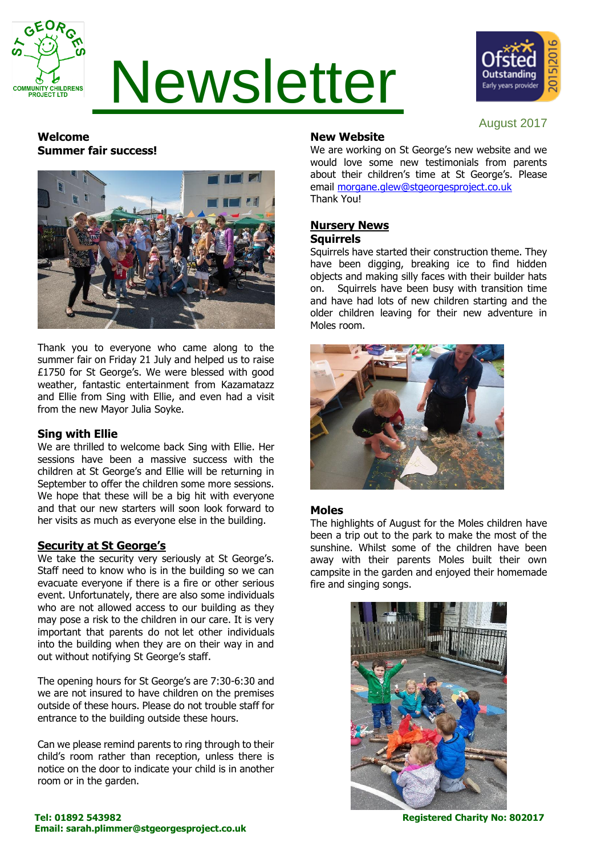

# Newsletter



August 2017

# **Welcome Summer fair success!**



Thank you to everyone who came along to the summer fair on Friday 21 July and helped us to raise £1750 for St George's. We were blessed with good weather, fantastic entertainment from Kazamatazz and Ellie from Sing with Ellie, and even had a visit from the new Mayor Julia Soyke.

# **Sing with Ellie**

We are thrilled to welcome back Sing with Ellie. Her sessions have been a massive success with the children at St George's and Ellie will be returning in September to offer the children some more sessions. We hope that these will be a big hit with everyone and that our new starters will soon look forward to her visits as much as everyone else in the building.

# **Security at St George's**

We take the security very seriously at St George's. Staff need to know who is in the building so we can evacuate everyone if there is a fire or other serious event. Unfortunately, there are also some individuals who are not allowed access to our building as they may pose a risk to the children in our care. It is very important that parents do not let other individuals into the building when they are on their way in and out without notifying St George's staff.

The opening hours for St George's are 7:30-6:30 and we are not insured to have children on the premises outside of these hours. Please do not trouble staff for entrance to the building outside these hours.

Can we please remind parents to ring through to their child's room rather than reception, unless there is notice on the door to indicate your child is in another room or in the garden.

# **New Website**

We are working on St George's new website and we would love some new testimonials from parents about their children's time at St George's. Please email [morgane.glew@stgeorgesproject.co.uk](mailto:morgane.glew@stgeorgesproject.co.uk) Thank You!

## **Nursery News Squirrels**

Squirrels have started their construction theme. They have been digging, breaking ice to find hidden objects and making silly faces with their builder hats on. Squirrels have been busy with transition time and have had lots of new children starting and the older children leaving for their new adventure in Moles room.



# **Moles**

The highlights of August for the Moles children have been a trip out to the park to make the most of the sunshine. Whilst some of the children have been away with their parents Moles built their own campsite in the garden and enjoyed their homemade fire and singing songs.

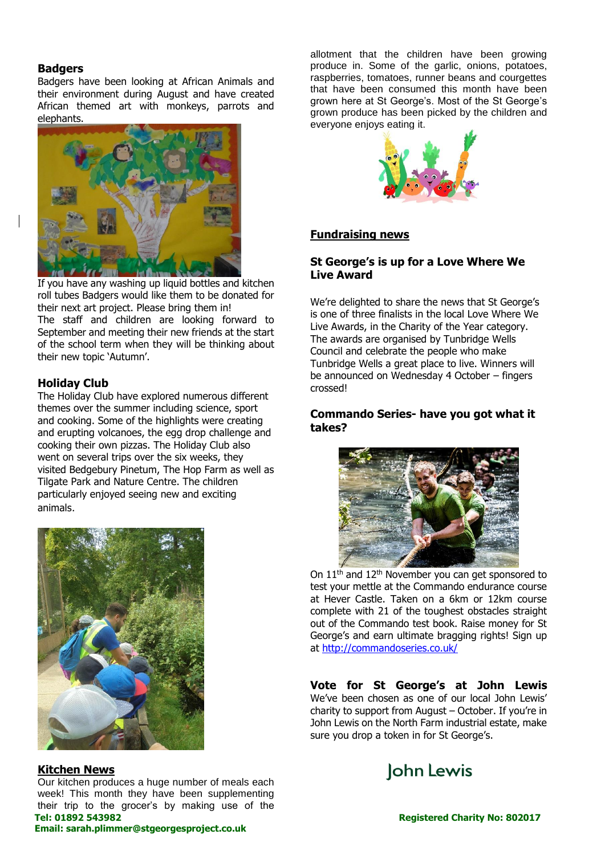#### **Badgers**

Badgers have been looking at African Animals and their environment during August and have created African themed art with monkeys, parrots and elephants.



If you have any washing up liquid bottles and kitchen roll tubes Badgers would like them to be donated for their next art project. Please bring them in! The staff and children are looking forward to September and meeting their new friends at the start of the school term when they will be thinking about their new topic 'Autumn'.

# **Holiday Club**

The Holiday Club have explored numerous different themes over the summer including science, sport and cooking. Some of the highlights were creating and erupting volcanoes, the egg drop challenge and cooking their own pizzas. The Holiday Club also went on several trips over the six weeks, they visited Bedgebury Pinetum, The Hop Farm as well as Tilgate Park and Nature Centre. The children particularly enjoyed seeing new and exciting animals.



# **Kitchen News**

Our kitchen produces a huge number of meals each week! This month they have been supplementing their trip to the grocer's by making use of the allotment that the children have been growing produce in. Some of the garlic, onions, potatoes, raspberries, tomatoes, runner beans and courgettes that have been consumed this month have been grown here at St George's. Most of the St George's grown produce has been picked by the children and everyone enjoys eating it.



#### **Fundraising news**

## **St George's is up for a Love Where We Live Award**

We're delighted to share the news that St George's is one of three finalists in the local Love Where We Live Awards, in the Charity of the Year category. The awards are organised by Tunbridge Wells Council and celebrate the people who make Tunbridge Wells a great place to live. Winners will be announced on Wednesday 4 October – fingers crossed!

#### **Commando Series- have you got what it takes?**



On 11<sup>th</sup> and 12<sup>th</sup> November you can get sponsored to test your mettle at the Commando endurance course at Hever Castle. Taken on a 6km or 12km course complete with 21 of the toughest obstacles straight out of the Commando test book. Raise money for St George's and earn ultimate bragging rights! Sign up at<http://commandoseries.co.uk/>

**Vote for St George's at John Lewis** We've been chosen as one of our local John Lewis' charity to support from August – October. If you're in John Lewis on the North Farm industrial estate, make sure you drop a token in for St George's.



**Email: sarah.plimmer@stgeorgesproject.co.uk**